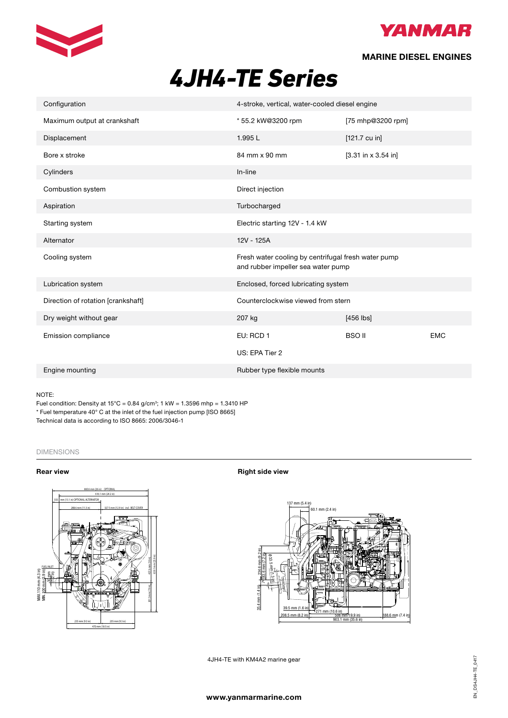



### **MARINE DIESEL ENGINES**

# **4JH4-TE** Series *4JH4-TE Series*

|  | Configuration                      | 4-stroke, vertical, water-cooled diesel engine                                            |                         |            |  |
|--|------------------------------------|-------------------------------------------------------------------------------------------|-------------------------|------------|--|
|  | Maximum output at crankshaft       | * 55.2 kW@3200 rpm                                                                        | [75 mhp@3200 rpm]       |            |  |
|  | Displacement                       | 1.995L                                                                                    | $[121.7 \text{ cu in}]$ |            |  |
|  | Bore x stroke                      | 84 mm x 90 mm                                                                             | $[3.31$ in x 3.54 in]   |            |  |
|  | Cylinders                          | In-line                                                                                   |                         |            |  |
|  | Combustion system                  | Direct injection                                                                          |                         |            |  |
|  | Aspiration                         | Turbocharged                                                                              |                         |            |  |
|  | Starting system                    | Electric starting 12V - 1.4 kW                                                            |                         |            |  |
|  | Alternator                         | 12V - 125A                                                                                |                         |            |  |
|  | Cooling system                     | Fresh water cooling by centrifugal fresh water pump<br>and rubber impeller sea water pump |                         |            |  |
|  | Lubrication system                 | Enclosed, forced lubricating system                                                       |                         |            |  |
|  | Direction of rotation [crankshaft] | Counterclockwise viewed from stern                                                        |                         |            |  |
|  | Dry weight without gear            | 207 kg                                                                                    | $[456$ lbs]             |            |  |
|  | Emission compliance                | EU: RCD 1                                                                                 | <b>BSO II</b>           | <b>EMC</b> |  |
|  |                                    | US: EPA Tier 2                                                                            |                         |            |  |
|  | Engine mounting                    | Rubber type flexible mounts                                                               |                         |            |  |
|  |                                    |                                                                                           |                         |            |  |

### NOTE:

Fuel condition: Density at  $15^{\circ}$ C = 0.84 g/cm<sup>3</sup>; 1 kW = 1.3596 mhp = 1.3410 HP \* Fuel temperature 40° C at the inlet of the fuel injection pump [ISO 8665] \* Fuel temperature 40°C at the inlet of the fuel injection pump (ISO 8665) Technical data is according to ISO 8665: 2006/3046-1

### DIMENSIONS (For detailed line-drawings, please refer to our web-site: www.yanmarmarine.com)



**Rear view <b>Right** side view **Right** side view



4JH4-TE with KM4A2 marine gear